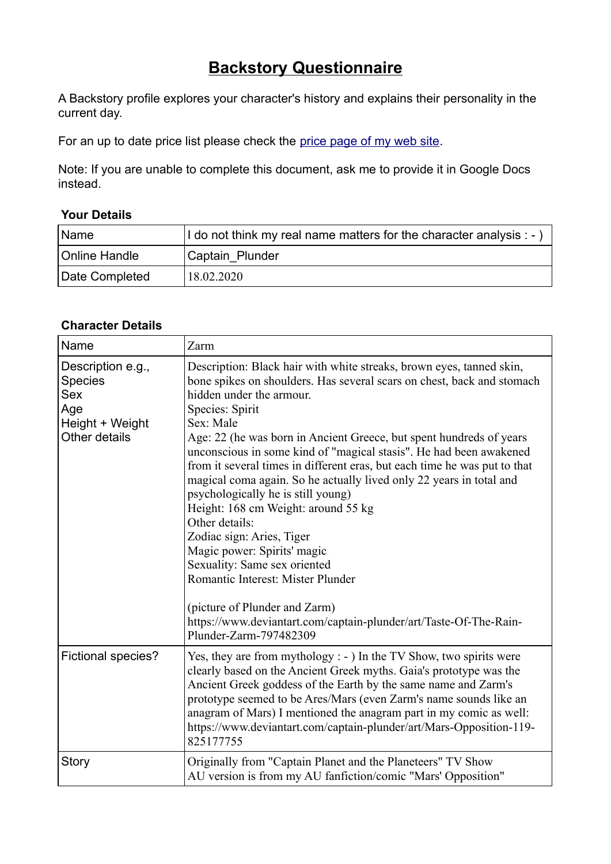## **Backstory Questionnaire**

A Backstory profile explores your character's history and explains their personality in the current day.

For an up to date price list please check the price page of my web site.

Note: If you are unable to complete this document, ask me to provide it in Google Docs instead.

## **Your Details**

| Name           | I do not think my real name matters for the character analysis : - ) |
|----------------|----------------------------------------------------------------------|
| Online Handle  | Captain Plunder                                                      |
| Date Completed | 18.02.2020                                                           |

## **Character Details**

| Name                                                                                  | Zarm                                                                                                                                                                                                                                                                                                                                                                                                                                                                                                                                                                                                                                                                                                                                                                         |
|---------------------------------------------------------------------------------------|------------------------------------------------------------------------------------------------------------------------------------------------------------------------------------------------------------------------------------------------------------------------------------------------------------------------------------------------------------------------------------------------------------------------------------------------------------------------------------------------------------------------------------------------------------------------------------------------------------------------------------------------------------------------------------------------------------------------------------------------------------------------------|
| Description e.g.,<br>Species<br><b>Sex</b><br>Age<br>Height + Weight<br>Other details | Description: Black hair with white streaks, brown eyes, tanned skin,<br>bone spikes on shoulders. Has several scars on chest, back and stomach<br>hidden under the armour.<br>Species: Spirit<br>Sex: Male<br>Age: 22 (he was born in Ancient Greece, but spent hundreds of years<br>unconscious in some kind of "magical stasis". He had been awakened<br>from it several times in different eras, but each time he was put to that<br>magical coma again. So he actually lived only 22 years in total and<br>psychologically he is still young)<br>Height: 168 cm Weight: around 55 kg<br>Other details:<br>Zodiac sign: Aries, Tiger<br>Magic power: Spirits' magic<br>Sexuality: Same sex oriented<br>Romantic Interest: Mister Plunder<br>(picture of Plunder and Zarm) |
|                                                                                       | https://www.deviantart.com/captain-plunder/art/Taste-Of-The-Rain-<br>Plunder-Zarm-797482309                                                                                                                                                                                                                                                                                                                                                                                                                                                                                                                                                                                                                                                                                  |
| <b>Fictional species?</b>                                                             | Yes, they are from mythology : - ) In the TV Show, two spirits were<br>clearly based on the Ancient Greek myths. Gaia's prototype was the<br>Ancient Greek goddess of the Earth by the same name and Zarm's<br>prototype seemed to be Ares/Mars (even Zarm's name sounds like an<br>anagram of Mars) I mentioned the anagram part in my comic as well:<br>https://www.deviantart.com/captain-plunder/art/Mars-Opposition-119-<br>825177755                                                                                                                                                                                                                                                                                                                                   |
| <b>Story</b>                                                                          | Originally from "Captain Planet and the Planeteers" TV Show<br>AU version is from my AU fanfiction/comic "Mars' Opposition"                                                                                                                                                                                                                                                                                                                                                                                                                                                                                                                                                                                                                                                  |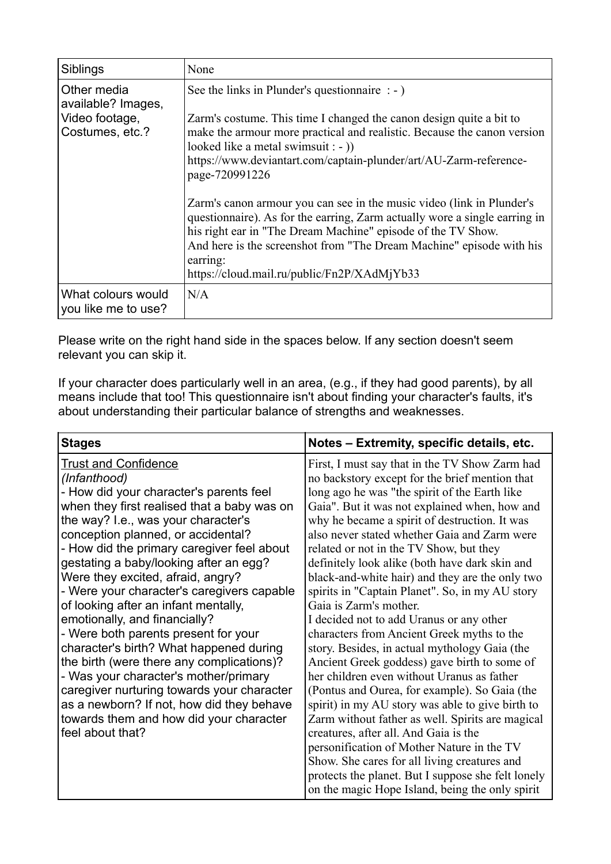| Siblings                                                               | None                                                                                                                                                                                                                                                                                                                                                                                                                                                                                                                                                                                                                                                                                      |
|------------------------------------------------------------------------|-------------------------------------------------------------------------------------------------------------------------------------------------------------------------------------------------------------------------------------------------------------------------------------------------------------------------------------------------------------------------------------------------------------------------------------------------------------------------------------------------------------------------------------------------------------------------------------------------------------------------------------------------------------------------------------------|
| Other media<br>available? Images,<br>Video footage,<br>Costumes, etc.? | See the links in Plunder's question naire $: -)$<br>Zarm's costume. This time I changed the canon design quite a bit to<br>make the armour more practical and realistic. Because the canon version<br>looked like a metal swimsuit : - )<br>https://www.deviantart.com/captain-plunder/art/AU-Zarm-reference-<br>page-720991226<br>Zarm's canon armour you can see in the music video (link in Plunder's<br>questionnaire). As for the earring, Zarm actually wore a single earring in<br>his right ear in "The Dream Machine" episode of the TV Show.<br>And here is the screenshot from "The Dream Machine" episode with his<br>earring:<br>https://cloud.mail.ru/public/Fn2P/XAdMjYb33 |
| What colours would<br>you like me to use?                              | N/A                                                                                                                                                                                                                                                                                                                                                                                                                                                                                                                                                                                                                                                                                       |

Please write on the right hand side in the spaces below. If any section doesn't seem relevant you can skip it.

If your character does particularly well in an area, (e.g., if they had good parents), by all means include that too! This questionnaire isn't about finding your character's faults, it's about understanding their particular balance of strengths and weaknesses.

| <b>Stages</b>                               | Notes - Extremity, specific details, etc.          |
|---------------------------------------------|----------------------------------------------------|
| <b>Trust and Confidence</b>                 | First, I must say that in the TV Show Zarm had     |
| (Infanthood)                                | no backstory except for the brief mention that     |
| - How did your character's parents feel     | long ago he was "the spirit of the Earth like      |
| when they first realised that a baby was on | Gaia". But it was not explained when, how and      |
| the way? I.e., was your character's         | why he became a spirit of destruction. It was      |
| conception planned, or accidental?          | also never stated whether Gaia and Zarm were       |
| - How did the primary caregiver feel about  | related or not in the TV Show, but they            |
| gestating a baby/looking after an egg?      | definitely look alike (both have dark skin and     |
| Were they excited, afraid, angry?           | black-and-white hair) and they are the only two    |
| - Were your character's caregivers capable  | spirits in "Captain Planet". So, in my AU story    |
| of looking after an infant mentally,        | Gaia is Zarm's mother.                             |
| emotionally, and financially?               | I decided not to add Uranus or any other           |
| - Were both parents present for your        | characters from Ancient Greek myths to the         |
| character's birth? What happened during     | story. Besides, in actual mythology Gaia (the      |
| the birth (were there any complications)?   | Ancient Greek goddess) gave birth to some of       |
| - Was your character's mother/primary       | her children even without Uranus as father         |
| caregiver nurturing towards your character  | (Pontus and Ourea, for example). So Gaia (the      |
| as a newborn? If not, how did they behave   | spirit) in my AU story was able to give birth to   |
| towards them and how did your character     | Zarm without father as well. Spirits are magical   |
| feel about that?                            | creatures, after all. And Gaia is the              |
|                                             | personification of Mother Nature in the TV         |
|                                             | Show. She cares for all living creatures and       |
|                                             | protects the planet. But I suppose she felt lonely |
|                                             | on the magic Hope Island, being the only spirit    |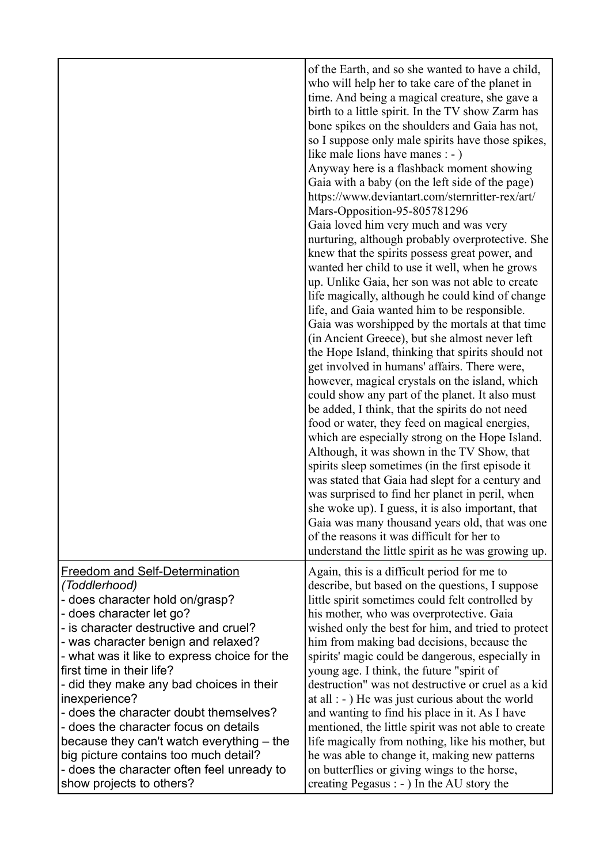|                                                                                                                                                                                                                                                                                                                                                                                                                                                                                                                                                                                                    | of the Earth, and so she wanted to have a child,<br>who will help her to take care of the planet in<br>time. And being a magical creature, she gave a<br>birth to a little spirit. In the TV show Zarm has<br>bone spikes on the shoulders and Gaia has not,<br>so I suppose only male spirits have those spikes,<br>like male lions have manes : - )<br>Anyway here is a flashback moment showing<br>Gaia with a baby (on the left side of the page)<br>https://www.deviantart.com/sternritter-rex/art/<br>Mars-Opposition-95-805781296<br>Gaia loved him very much and was very<br>nurturing, although probably overprotective. She<br>knew that the spirits possess great power, and<br>wanted her child to use it well, when he grows<br>up. Unlike Gaia, her son was not able to create<br>life magically, although he could kind of change<br>life, and Gaia wanted him to be responsible.<br>Gaia was worshipped by the mortals at that time<br>(in Ancient Greece), but she almost never left<br>the Hope Island, thinking that spirits should not<br>get involved in humans' affairs. There were,<br>however, magical crystals on the island, which<br>could show any part of the planet. It also must<br>be added, I think, that the spirits do not need<br>food or water, they feed on magical energies,<br>which are especially strong on the Hope Island.<br>Although, it was shown in the TV Show, that<br>spirits sleep sometimes (in the first episode it<br>was stated that Gaia had slept for a century and<br>was surprised to find her planet in peril, when<br>she woke up). I guess, it is also important, that<br>Gaia was many thousand years old, that was one |
|----------------------------------------------------------------------------------------------------------------------------------------------------------------------------------------------------------------------------------------------------------------------------------------------------------------------------------------------------------------------------------------------------------------------------------------------------------------------------------------------------------------------------------------------------------------------------------------------------|-----------------------------------------------------------------------------------------------------------------------------------------------------------------------------------------------------------------------------------------------------------------------------------------------------------------------------------------------------------------------------------------------------------------------------------------------------------------------------------------------------------------------------------------------------------------------------------------------------------------------------------------------------------------------------------------------------------------------------------------------------------------------------------------------------------------------------------------------------------------------------------------------------------------------------------------------------------------------------------------------------------------------------------------------------------------------------------------------------------------------------------------------------------------------------------------------------------------------------------------------------------------------------------------------------------------------------------------------------------------------------------------------------------------------------------------------------------------------------------------------------------------------------------------------------------------------------------------------------------------------------------------------------------------------------------------|
|                                                                                                                                                                                                                                                                                                                                                                                                                                                                                                                                                                                                    | of the reasons it was difficult for her to<br>understand the little spirit as he was growing up.                                                                                                                                                                                                                                                                                                                                                                                                                                                                                                                                                                                                                                                                                                                                                                                                                                                                                                                                                                                                                                                                                                                                                                                                                                                                                                                                                                                                                                                                                                                                                                                        |
| <b>Freedom and Self-Determination</b><br>(Toddlerhood)<br>- does character hold on/grasp?<br>- does character let go?<br>- is character destructive and cruel?<br>- was character benign and relaxed?<br>- what was it like to express choice for the<br>first time in their life?<br>- did they make any bad choices in their<br>inexperience?<br>- does the character doubt themselves?<br>- does the character focus on details<br>because they can't watch everything - the<br>big picture contains too much detail?<br>- does the character often feel unready to<br>show projects to others? | Again, this is a difficult period for me to<br>describe, but based on the questions, I suppose<br>little spirit sometimes could felt controlled by<br>his mother, who was overprotective. Gaia<br>wished only the best for him, and tried to protect<br>him from making bad decisions, because the<br>spirits' magic could be dangerous, especially in<br>young age. I think, the future "spirit of<br>destruction" was not destructive or cruel as a kid<br>at all $\colon$ - $\colon$ He was just curious about the world<br>and wanting to find his place in it. As I have<br>mentioned, the little spirit was not able to create<br>life magically from nothing, like his mother, but<br>he was able to change it, making new patterns<br>on butterflies or giving wings to the horse,<br>creating Pegasus : - ) In the AU story the                                                                                                                                                                                                                                                                                                                                                                                                                                                                                                                                                                                                                                                                                                                                                                                                                                                |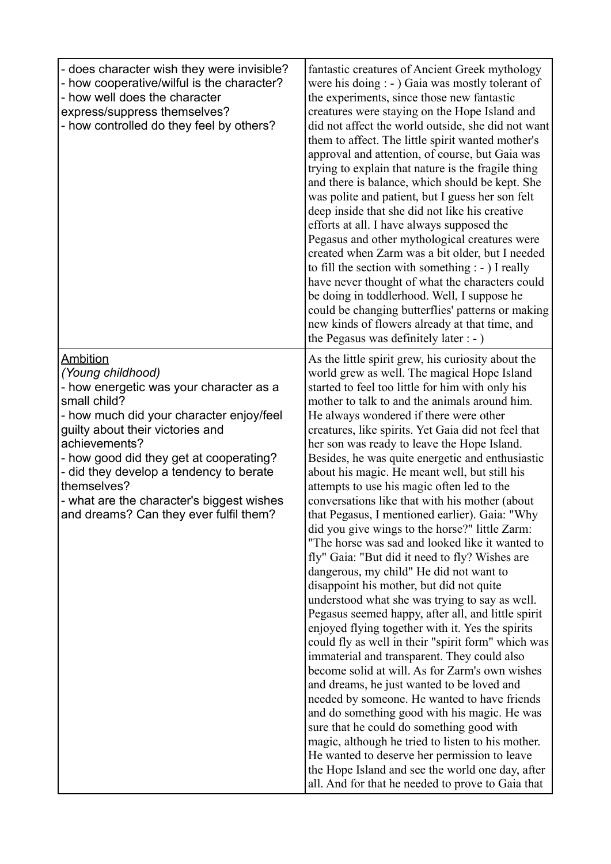| - does character wish they were invisible?<br>- how cooperative/wilful is the character?<br>- how well does the character<br>express/suppress themselves?<br>- how controlled do they feel by others?                                                                                                                                                                                        | fantastic creatures of Ancient Greek mythology<br>were his doing : - ) Gaia was mostly tolerant of<br>the experiments, since those new fantastic<br>creatures were staying on the Hope Island and<br>did not affect the world outside, she did not want<br>them to affect. The little spirit wanted mother's<br>approval and attention, of course, but Gaia was<br>trying to explain that nature is the fragile thing<br>and there is balance, which should be kept. She<br>was polite and patient, but I guess her son felt<br>deep inside that she did not like his creative<br>efforts at all. I have always supposed the<br>Pegasus and other mythological creatures were<br>created when Zarm was a bit older, but I needed<br>to fill the section with something $: -$ ) I really<br>have never thought of what the characters could<br>be doing in toddlerhood. Well, I suppose he<br>could be changing butterflies' patterns or making<br>new kinds of flowers already at that time, and<br>the Pegasus was definitely later : - )                                                                                                                                                                                                                                                                                                                                                                                                                                                                                                                                              |
|----------------------------------------------------------------------------------------------------------------------------------------------------------------------------------------------------------------------------------------------------------------------------------------------------------------------------------------------------------------------------------------------|-----------------------------------------------------------------------------------------------------------------------------------------------------------------------------------------------------------------------------------------------------------------------------------------------------------------------------------------------------------------------------------------------------------------------------------------------------------------------------------------------------------------------------------------------------------------------------------------------------------------------------------------------------------------------------------------------------------------------------------------------------------------------------------------------------------------------------------------------------------------------------------------------------------------------------------------------------------------------------------------------------------------------------------------------------------------------------------------------------------------------------------------------------------------------------------------------------------------------------------------------------------------------------------------------------------------------------------------------------------------------------------------------------------------------------------------------------------------------------------------------------------------------------------------------------------------------------------------|
| <b>Ambition</b><br>(Young childhood)<br>- how energetic was your character as a<br>small child?<br>- how much did your character enjoy/feel<br>guilty about their victories and<br>achievements?<br>- how good did they get at cooperating?<br>- did they develop a tendency to berate<br>themselves?<br>- what are the character's biggest wishes<br>and dreams? Can they ever fulfil them? | As the little spirit grew, his curiosity about the<br>world grew as well. The magical Hope Island<br>started to feel too little for him with only his<br>mother to talk to and the animals around him.<br>He always wondered if there were other<br>creatures, like spirits. Yet Gaia did not feel that<br>her son was ready to leave the Hope Island.<br>Besides, he was quite energetic and enthusiastic<br>about his magic. He meant well, but still his<br>attempts to use his magic often led to the<br>conversations like that with his mother (about<br>that Pegasus, I mentioned earlier). Gaia: "Why<br>did you give wings to the horse?" little Zarm:<br>"The horse was sad and looked like it wanted to<br>fly" Gaia: "But did it need to fly? Wishes are<br>dangerous, my child" He did not want to<br>disappoint his mother, but did not quite<br>understood what she was trying to say as well.<br>Pegasus seemed happy, after all, and little spirit<br>enjoyed flying together with it. Yes the spirits<br>could fly as well in their "spirit form" which was<br>immaterial and transparent. They could also<br>become solid at will. As for Zarm's own wishes<br>and dreams, he just wanted to be loved and<br>needed by someone. He wanted to have friends<br>and do something good with his magic. He was<br>sure that he could do something good with<br>magic, although he tried to listen to his mother.<br>He wanted to deserve her permission to leave<br>the Hope Island and see the world one day, after<br>all. And for that he needed to prove to Gaia that |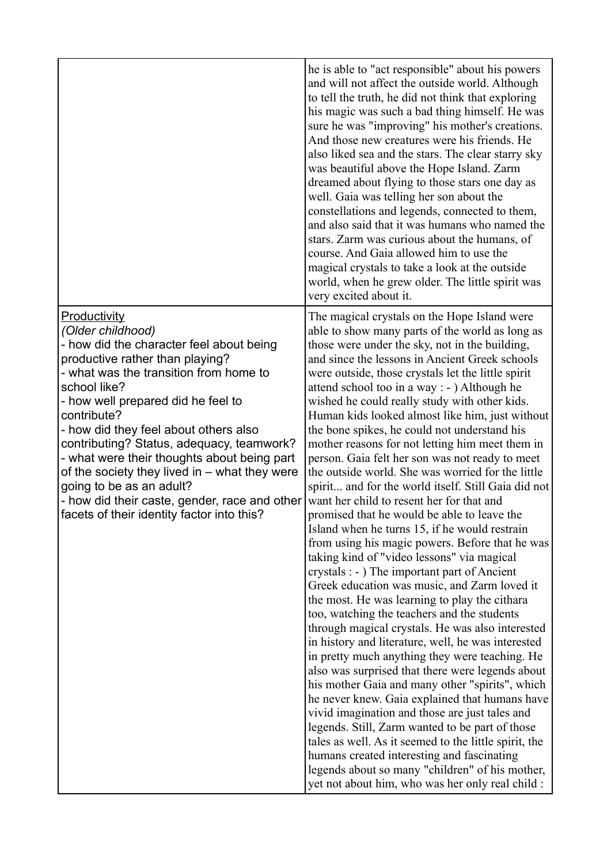|                                                                                                                                                                                                                                                                                                                                                                                                                                                                                                                                                  | he is able to "act responsible" about his powers<br>and will not affect the outside world. Although<br>to tell the truth, he did not think that exploring<br>his magic was such a bad thing himself. He was<br>sure he was "improving" his mother's creations.<br>And those new creatures were his friends. He<br>also liked sea and the stars. The clear starry sky<br>was beautiful above the Hope Island. Zarm<br>dreamed about flying to those stars one day as<br>well. Gaia was telling her son about the<br>constellations and legends, connected to them,<br>and also said that it was humans who named the<br>stars. Zarm was curious about the humans, of<br>course. And Gaia allowed him to use the<br>magical crystals to take a look at the outside<br>world, when he grew older. The little spirit was<br>very excited about it.                                                                                                                                                                                                                                                                                                                                                                                                                                                                                                                                                                                                                                                                                                                                                                                                                                                                                                                        |
|--------------------------------------------------------------------------------------------------------------------------------------------------------------------------------------------------------------------------------------------------------------------------------------------------------------------------------------------------------------------------------------------------------------------------------------------------------------------------------------------------------------------------------------------------|-----------------------------------------------------------------------------------------------------------------------------------------------------------------------------------------------------------------------------------------------------------------------------------------------------------------------------------------------------------------------------------------------------------------------------------------------------------------------------------------------------------------------------------------------------------------------------------------------------------------------------------------------------------------------------------------------------------------------------------------------------------------------------------------------------------------------------------------------------------------------------------------------------------------------------------------------------------------------------------------------------------------------------------------------------------------------------------------------------------------------------------------------------------------------------------------------------------------------------------------------------------------------------------------------------------------------------------------------------------------------------------------------------------------------------------------------------------------------------------------------------------------------------------------------------------------------------------------------------------------------------------------------------------------------------------------------------------------------------------------------------------------------|
| Productivity<br>(Older childhood)<br>- how did the character feel about being<br>productive rather than playing?<br>- what was the transition from home to<br>school like?<br>- how well prepared did he feel to<br>contribute?<br>- how did they feel about others also<br>contributing? Status, adequacy, teamwork?<br>- what were their thoughts about being part<br>of the society they lived in – what they were<br>going to be as an adult?<br>- how did their caste, gender, race and other<br>facets of their identity factor into this? | The magical crystals on the Hope Island were<br>able to show many parts of the world as long as<br>those were under the sky, not in the building,<br>and since the lessons in Ancient Greek schools<br>were outside, those crystals let the little spirit<br>attend school too in a way : - ) Although he<br>wished he could really study with other kids.<br>Human kids looked almost like him, just without<br>the bone spikes, he could not understand his<br>mother reasons for not letting him meet them in<br>person. Gaia felt her son was not ready to meet<br>the outside world. She was worried for the little<br>spirit and for the world itself. Still Gaia did not<br>want her child to resent her for that and<br>promised that he would be able to leave the<br>Island when he turns 15, if he would restrain<br>from using his magic powers. Before that he was<br>taking kind of "video lessons" via magical<br>crystals : - ) The important part of Ancient<br>Greek education was music, and Zarm loved it<br>the most. He was learning to play the cithara<br>too, watching the teachers and the students<br>through magical crystals. He was also interested<br>in history and literature, well, he was interested<br>in pretty much anything they were teaching. He<br>also was surprised that there were legends about<br>his mother Gaia and many other "spirits", which<br>he never knew. Gaia explained that humans have<br>vivid imagination and those are just tales and<br>legends. Still, Zarm wanted to be part of those<br>tales as well. As it seemed to the little spirit, the<br>humans created interesting and fascinating<br>legends about so many "children" of his mother,<br>yet not about him, who was her only real child : |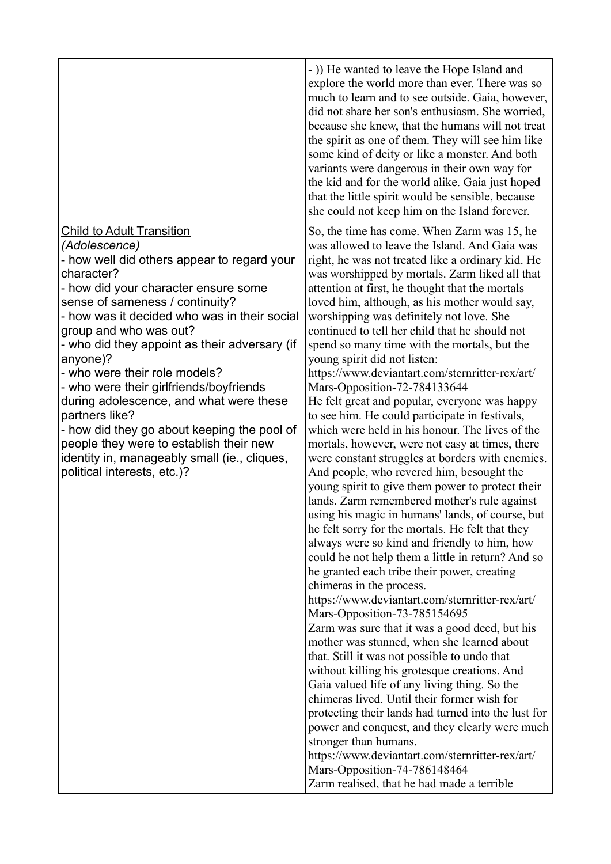|                                                                                                                                                                                                                                                                                                                                                                                                                                                                                                                                                                                                                                                    | - )) He wanted to leave the Hope Island and<br>explore the world more than ever. There was so<br>much to learn and to see outside. Gaia, however,<br>did not share her son's enthusiasm. She worried,<br>because she knew, that the humans will not treat<br>the spirit as one of them. They will see him like<br>some kind of deity or like a monster. And both<br>variants were dangerous in their own way for<br>the kid and for the world alike. Gaia just hoped<br>that the little spirit would be sensible, because<br>she could not keep him on the Island forever.                                                                                                                                                                                                                                                                                                                                                                                                                                                                                                                                                                                                                                                                                                                                                                                                                                                                                                                                                                                                                                                                                                                                                                                                                                                                                                                                                          |
|----------------------------------------------------------------------------------------------------------------------------------------------------------------------------------------------------------------------------------------------------------------------------------------------------------------------------------------------------------------------------------------------------------------------------------------------------------------------------------------------------------------------------------------------------------------------------------------------------------------------------------------------------|-------------------------------------------------------------------------------------------------------------------------------------------------------------------------------------------------------------------------------------------------------------------------------------------------------------------------------------------------------------------------------------------------------------------------------------------------------------------------------------------------------------------------------------------------------------------------------------------------------------------------------------------------------------------------------------------------------------------------------------------------------------------------------------------------------------------------------------------------------------------------------------------------------------------------------------------------------------------------------------------------------------------------------------------------------------------------------------------------------------------------------------------------------------------------------------------------------------------------------------------------------------------------------------------------------------------------------------------------------------------------------------------------------------------------------------------------------------------------------------------------------------------------------------------------------------------------------------------------------------------------------------------------------------------------------------------------------------------------------------------------------------------------------------------------------------------------------------------------------------------------------------------------------------------------------------|
| <b>Child to Adult Transition</b><br>(Adolescence)<br>- how well did others appear to regard your<br>character?<br>- how did your character ensure some<br>sense of sameness / continuity?<br>- how was it decided who was in their social<br>group and who was out?<br>- who did they appoint as their adversary (if<br>anyone)?<br>- who were their role models?<br>- who were their girlfriends/boyfriends<br>during adolescence, and what were these<br>partners like?<br>- how did they go about keeping the pool of<br>people they were to establish their new<br>identity in, manageably small (ie., cliques,<br>political interests, etc.)? | So, the time has come. When Zarm was 15, he<br>was allowed to leave the Island. And Gaia was<br>right, he was not treated like a ordinary kid. He<br>was worshipped by mortals. Zarm liked all that<br>attention at first, he thought that the mortals<br>loved him, although, as his mother would say,<br>worshipping was definitely not love. She<br>continued to tell her child that he should not<br>spend so many time with the mortals, but the<br>young spirit did not listen:<br>https://www.deviantart.com/sternritter-rex/art/<br>Mars-Opposition-72-784133644<br>He felt great and popular, everyone was happy<br>to see him. He could participate in festivals,<br>which were held in his honour. The lives of the<br>mortals, however, were not easy at times, there<br>were constant struggles at borders with enemies.<br>And people, who revered him, besought the<br>young spirit to give them power to protect their<br>lands. Zarm remembered mother's rule against<br>using his magic in humans' lands, of course, but<br>he felt sorry for the mortals. He felt that they<br>always were so kind and friendly to him, how<br>could he not help them a little in return? And so<br>he granted each tribe their power, creating<br>chimeras in the process.<br>https://www.deviantart.com/sternritter-rex/art/<br>Mars-Opposition-73-785154695<br>Zarm was sure that it was a good deed, but his<br>mother was stunned, when she learned about<br>that. Still it was not possible to undo that<br>without killing his grotesque creations. And<br>Gaia valued life of any living thing. So the<br>chimeras lived. Until their former wish for<br>protecting their lands had turned into the lust for<br>power and conquest, and they clearly were much<br>stronger than humans.<br>https://www.deviantart.com/sternritter-rex/art/<br>Mars-Opposition-74-786148464<br>Zarm realised, that he had made a terrible |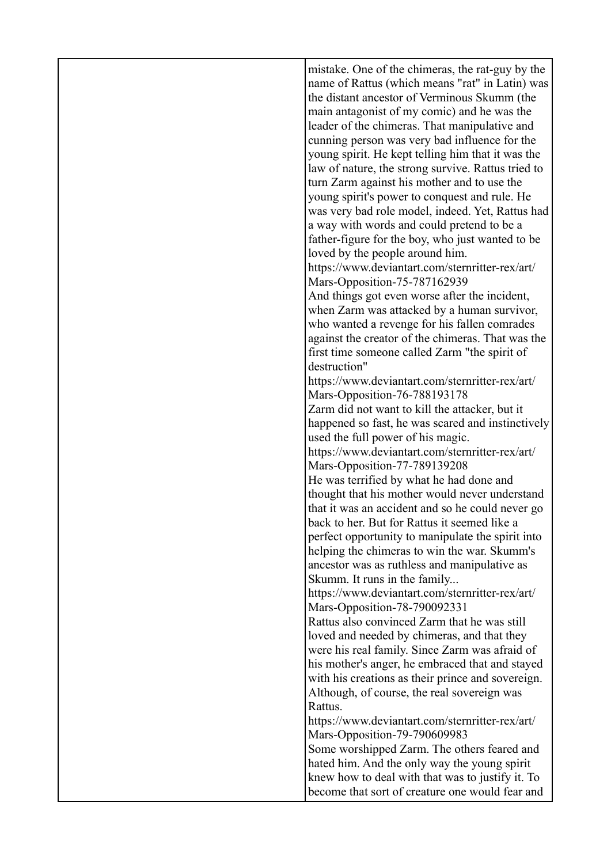| mistake. One of the chimeras, the rat-guy by the   |
|----------------------------------------------------|
| name of Rattus (which means "rat" in Latin) was    |
| the distant ancestor of Verminous Skumm (the       |
| main antagonist of my comic) and he was the        |
| leader of the chimeras. That manipulative and      |
| cunning person was very bad influence for the      |
| young spirit. He kept telling him that it was the  |
| law of nature, the strong survive. Rattus tried to |
| turn Zarm against his mother and to use the        |
| young spirit's power to conquest and rule. He      |
| was very bad role model, indeed. Yet, Rattus had   |
| a way with words and could pretend to be a         |
| father-figure for the boy, who just wanted to be   |
| loved by the people around him.                    |
| https://www.deviantart.com/sternritter-rex/art/    |
| Mars-Opposition-75-787162939                       |
| And things got even worse after the incident,      |
| when Zarm was attacked by a human survivor,        |
| who wanted a revenge for his fallen comrades       |
| against the creator of the chimeras. That was the  |
| first time someone called Zarm "the spirit of      |
| destruction"                                       |
| https://www.deviantart.com/sternritter-rex/art/    |
| Mars-Opposition-76-788193178                       |
| Zarm did not want to kill the attacker, but it     |
| happened so fast, he was scared and instinctively  |
| used the full power of his magic.                  |
| https://www.deviantart.com/sternritter-rex/art/    |
| Mars-Opposition-77-789139208                       |
| He was terrified by what he had done and           |
| thought that his mother would never understand     |
| that it was an accident and so he could never go   |
| back to her. But for Rattus it seemed like a       |
| perfect opportunity to manipulate the spirit into  |
| helping the chimeras to win the war. Skumm's       |
| ancestor was as ruthless and manipulative as       |
| Skumm. It runs in the family                       |
| https://www.deviantart.com/sternritter-rex/art/    |
| Mars-Opposition-78-790092331                       |
| Rattus also convinced Zarm that he was still       |
| loved and needed by chimeras, and that they        |
| were his real family. Since Zarm was afraid of     |
| his mother's anger, he embraced that and stayed    |
| with his creations as their prince and sovereign.  |
| Although, of course, the real sovereign was        |
| Rattus.                                            |
| https://www.deviantart.com/sternritter-rex/art/    |
| Mars-Opposition-79-790609983                       |
| Some worshipped Zarm. The others feared and        |
| hated him. And the only way the young spirit       |
| knew how to deal with that was to justify it. To   |
| become that sort of creature one would fear and    |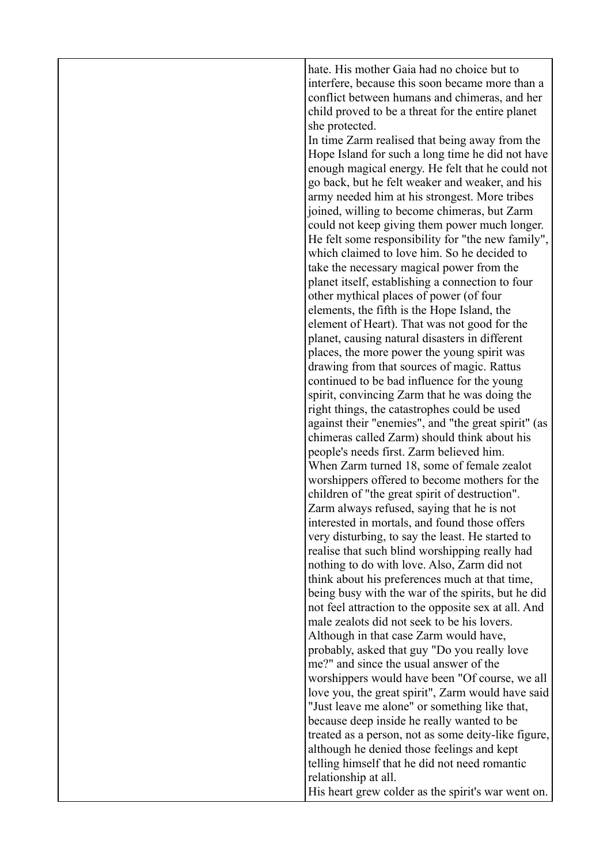hate. His mother Gaia had no choice but to interfere, because this soon became more than a conflict between humans and chimeras, and her child proved to be a threat for the entire planet she protected.

In time Zarm realised that being away from the Hope Island for such a long time he did not have enough magical energy. He felt that he could not go back, but he felt weaker and weaker, and his army needed him at his strongest. More tribes joined, willing to become chimeras, but Zarm could not keep giving them power much longer. He felt some responsibility for "the new family", which claimed to love him. So he decided to take the necessary magical power from the planet itself, establishing a connection to four other mythical places of power (of four elements, the fifth is the Hope Island, the element of Heart). That was not good for the planet, causing natural disasters in different places, the more power the young spirit was drawing from that sources of magic. Rattus continued to be bad influence for the young spirit, convincing Zarm that he was doing the right things, the catastrophes could be used against their "enemies", and "the great spirit" (as chimeras called Zarm) should think about his people's needs first. Zarm believed him. When Zarm turned 18, some of female zealot worshippers offered to become mothers for the children of "the great spirit of destruction". Zarm always refused, saying that he is not interested in mortals, and found those offers very disturbing, to say the least. He started to realise that such blind worshipping really had nothing to do with love. Also, Zarm did not think about his preferences much at that time, being busy with the war of the spirits, but he did not feel attraction to the opposite sex at all. And male zealots did not seek to be his lovers. Although in that case Zarm would have, probably, asked that guy "Do you really love me?" and since the usual answer of the worshippers would have been "Of course, we all love you, the great spirit", Zarm would have said "Just leave me alone" or something like that, because deep inside he really wanted to be treated as a person, not as some deity-like figure, although he denied those feelings and kept telling himself that he did not need romantic relationship at all. His heart grew colder as the spirit's war went on.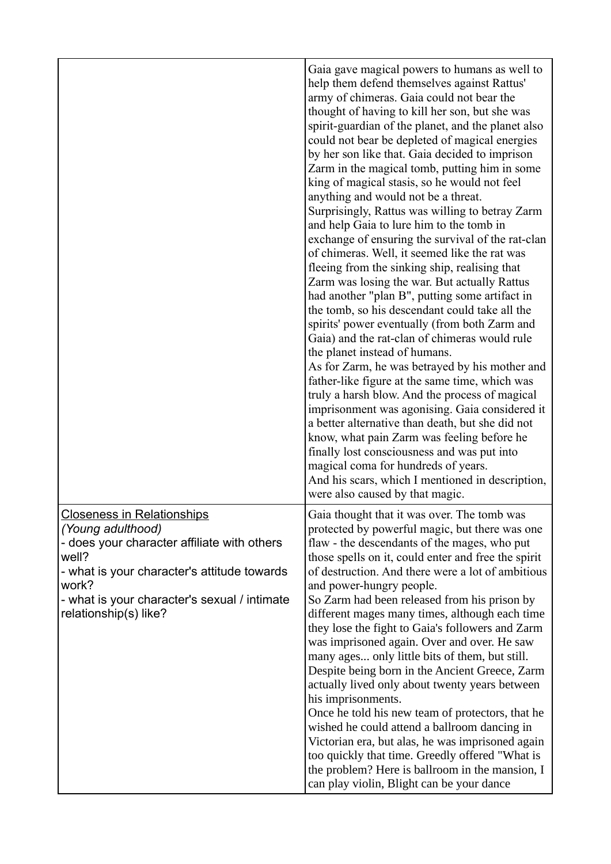|                                                                                                                                                                                                                                                 | Gaia gave magical powers to humans as well to<br>help them defend themselves against Rattus'<br>army of chimeras. Gaia could not bear the<br>thought of having to kill her son, but she was<br>spirit-guardian of the planet, and the planet also<br>could not bear be depleted of magical energies<br>by her son like that. Gaia decided to imprison<br>Zarm in the magical tomb, putting him in some<br>king of magical stasis, so he would not feel<br>anything and would not be a threat.<br>Surprisingly, Rattus was willing to betray Zarm<br>and help Gaia to lure him to the tomb in<br>exchange of ensuring the survival of the rat-clan<br>of chimeras. Well, it seemed like the rat was<br>fleeing from the sinking ship, realising that<br>Zarm was losing the war. But actually Rattus<br>had another "plan B", putting some artifact in<br>the tomb, so his descendant could take all the<br>spirits' power eventually (from both Zarm and<br>Gaia) and the rat-clan of chimeras would rule<br>the planet instead of humans.<br>As for Zarm, he was betrayed by his mother and<br>father-like figure at the same time, which was<br>truly a harsh blow. And the process of magical<br>imprisonment was agonising. Gaia considered it<br>a better alternative than death, but she did not<br>know, what pain Zarm was feeling before he<br>finally lost consciousness and was put into<br>magical coma for hundreds of years.<br>And his scars, which I mentioned in description,<br>were also caused by that magic. |
|-------------------------------------------------------------------------------------------------------------------------------------------------------------------------------------------------------------------------------------------------|-----------------------------------------------------------------------------------------------------------------------------------------------------------------------------------------------------------------------------------------------------------------------------------------------------------------------------------------------------------------------------------------------------------------------------------------------------------------------------------------------------------------------------------------------------------------------------------------------------------------------------------------------------------------------------------------------------------------------------------------------------------------------------------------------------------------------------------------------------------------------------------------------------------------------------------------------------------------------------------------------------------------------------------------------------------------------------------------------------------------------------------------------------------------------------------------------------------------------------------------------------------------------------------------------------------------------------------------------------------------------------------------------------------------------------------------------------------------------------------------------------------------------------------|
| <b>Closeness in Relationships</b><br>(Young adulthood)<br>- does your character affiliate with others<br>well?<br>- what is your character's attitude towards<br>work?<br>- what is your character's sexual / intimate<br>relationship(s) like? | Gaia thought that it was over. The tomb was<br>protected by powerful magic, but there was one<br>flaw - the descendants of the mages, who put<br>those spells on it, could enter and free the spirit<br>of destruction. And there were a lot of ambitious<br>and power-hungry people.<br>So Zarm had been released from his prison by<br>different mages many times, although each time<br>they lose the fight to Gaia's followers and Zarm<br>was imprisoned again. Over and over. He saw<br>many ages only little bits of them, but still.<br>Despite being born in the Ancient Greece, Zarm<br>actually lived only about twenty years between<br>his imprisonments.<br>Once he told his new team of protectors, that he<br>wished he could attend a ballroom dancing in<br>Victorian era, but alas, he was imprisoned again<br>too quickly that time. Greedly offered "What is<br>the problem? Here is ballroom in the mansion, I<br>can play violin, Blight can be your dance                                                                                                                                                                                                                                                                                                                                                                                                                                                                                                                                                 |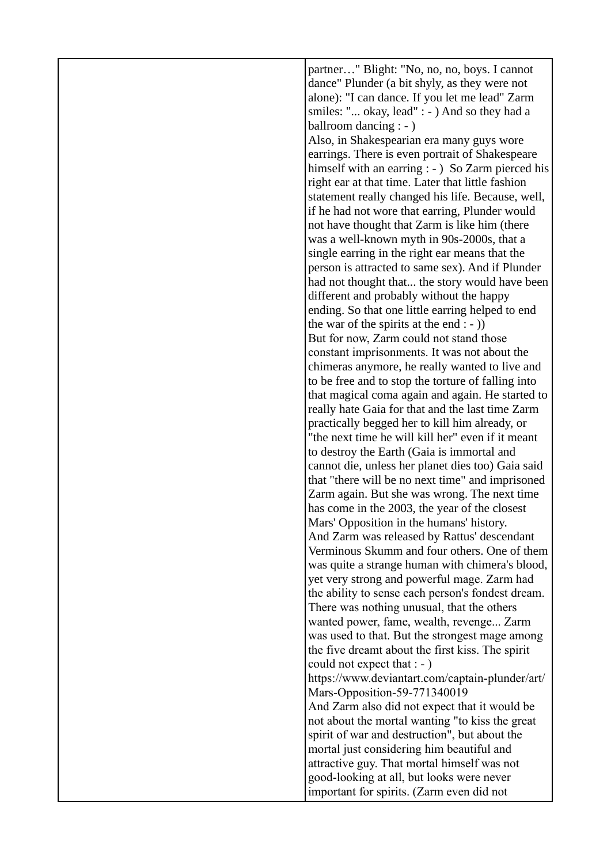partner…" Blight: "No, no, no, boys. I cannot dance" Plunder (a bit shyly, as they were not alone): "I can dance. If you let me lead" Zarm smiles: "... okay, lead" : - ) And so they had a ballroom dancing : - ) Also, in Shakespearian era many guys wore earrings. There is even portrait of Shakespeare himself with an earring : - ) So Zarm pierced his right ear at that time. Later that little fashion statement really changed his life. Because, well, if he had not wore that earring, Plunder would not have thought that Zarm is like him (there was a well-known myth in 90s-2000s, that a single earring in the right ear means that the person is attracted to same sex). And if Plunder had not thought that... the story would have been different and probably without the happy ending. So that one little earring helped to end the war of the spirits at the end  $:-$ ) But for now, Zarm could not stand those constant imprisonments. It was not about the chimeras anymore, he really wanted to live and to be free and to stop the torture of falling into that magical coma again and again. He started to really hate Gaia for that and the last time Zarm practically begged her to kill him already, or "the next time he will kill her" even if it meant to destroy the Earth (Gaia is immortal and cannot die, unless her planet dies too) Gaia said that "there will be no next time" and imprisoned Zarm again. But she was wrong. The next time has come in the 2003, the year of the closest Mars' Opposition in the humans' history. And Zarm was released by Rattus' descendant Verminous Skumm and four others. One of them was quite a strange human with chimera's blood, yet very strong and powerful mage. Zarm had the ability to sense each person's fondest dream. There was nothing unusual, that the others wanted power, fame, wealth, revenge... Zarm was used to that. But the strongest mage among the five dreamt about the first kiss. The spirit could not expect that : - ) https://www.deviantart.com/captain-plunder/art/ Mars-Opposition-59-771340019 And Zarm also did not expect that it would be not about the mortal wanting "to kiss the great spirit of war and destruction", but about the mortal just considering him beautiful and attractive guy. That mortal himself was not good-looking at all, but looks were never important for spirits. (Zarm even did not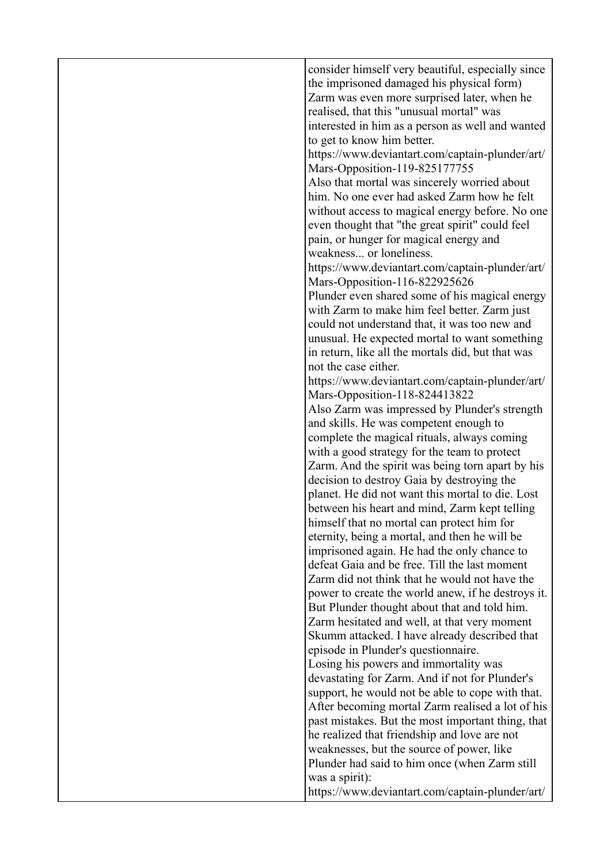| consider himself very beautiful, especially since<br>the imprisoned damaged his physical form)<br>Zarm was even more surprised later, when he<br>realised, that this "unusual mortal" was<br>interested in him as a person as well and wanted<br>to get to know him better.<br>https://www.deviantart.com/captain-plunder/art/<br>Mars-Opposition-119-825177755<br>Also that mortal was sincerely worried about<br>him. No one ever had asked Zarm how he felt<br>without access to magical energy before. No one<br>even thought that "the great spirit" could feel<br>pain, or hunger for magical energy and<br>weakness or loneliness.<br>https://www.deviantart.com/captain-plunder/art/<br>Mars-Opposition-116-822925626<br>Plunder even shared some of his magical energy<br>with Zarm to make him feel better. Zarm just<br>could not understand that, it was too new and<br>unusual. He expected mortal to want something<br>in return, like all the mortals did, but that was<br>not the case either.<br>https://www.deviantart.com/captain-plunder/art/<br>Mars-Opposition-118-824413822<br>Also Zarm was impressed by Plunder's strength<br>and skills. He was competent enough to<br>complete the magical rituals, always coming<br>with a good strategy for the team to protect<br>Zarm. And the spirit was being torn apart by his<br>decision to destroy Gaia by destroying the<br>planet. He did not want this mortal to die. Lost<br>between his heart and mind, Zarm kept telling<br>himself that no mortal can protect him for<br>eternity, being a mortal, and then he will be<br>imprisoned again. He had the only chance to<br>defeat Gaia and be free. Till the last moment<br>Zarm did not think that he would not have the<br>power to create the world anew, if he destroys it.<br>But Plunder thought about that and told him.<br>Zarm hesitated and well, at that very moment<br>Skumm attacked. I have already described that<br>episode in Plunder's questionnaire.<br>Losing his powers and immortality was<br>devastating for Zarm. And if not for Plunder's<br>support, he would not be able to cope with that.<br>After becoming mortal Zarm realised a lot of his<br>past mistakes. But the most important thing, that<br>he realized that friendship and love are not<br>weaknesses, but the source of power, like<br>Plunder had said to him once (when Zarm still<br>was a spirit):<br>https://www.deviantart.com/captain-plunder/art/ |  |
|------------------------------------------------------------------------------------------------------------------------------------------------------------------------------------------------------------------------------------------------------------------------------------------------------------------------------------------------------------------------------------------------------------------------------------------------------------------------------------------------------------------------------------------------------------------------------------------------------------------------------------------------------------------------------------------------------------------------------------------------------------------------------------------------------------------------------------------------------------------------------------------------------------------------------------------------------------------------------------------------------------------------------------------------------------------------------------------------------------------------------------------------------------------------------------------------------------------------------------------------------------------------------------------------------------------------------------------------------------------------------------------------------------------------------------------------------------------------------------------------------------------------------------------------------------------------------------------------------------------------------------------------------------------------------------------------------------------------------------------------------------------------------------------------------------------------------------------------------------------------------------------------------------------------------------------------------------------------------------------------------------------------------------------------------------------------------------------------------------------------------------------------------------------------------------------------------------------------------------------------------------------------------------------------------------------------------------------------------------------------------------------------------------------------------------------------------------------------------|--|
|                                                                                                                                                                                                                                                                                                                                                                                                                                                                                                                                                                                                                                                                                                                                                                                                                                                                                                                                                                                                                                                                                                                                                                                                                                                                                                                                                                                                                                                                                                                                                                                                                                                                                                                                                                                                                                                                                                                                                                                                                                                                                                                                                                                                                                                                                                                                                                                                                                                                              |  |
|                                                                                                                                                                                                                                                                                                                                                                                                                                                                                                                                                                                                                                                                                                                                                                                                                                                                                                                                                                                                                                                                                                                                                                                                                                                                                                                                                                                                                                                                                                                                                                                                                                                                                                                                                                                                                                                                                                                                                                                                                                                                                                                                                                                                                                                                                                                                                                                                                                                                              |  |
|                                                                                                                                                                                                                                                                                                                                                                                                                                                                                                                                                                                                                                                                                                                                                                                                                                                                                                                                                                                                                                                                                                                                                                                                                                                                                                                                                                                                                                                                                                                                                                                                                                                                                                                                                                                                                                                                                                                                                                                                                                                                                                                                                                                                                                                                                                                                                                                                                                                                              |  |
|                                                                                                                                                                                                                                                                                                                                                                                                                                                                                                                                                                                                                                                                                                                                                                                                                                                                                                                                                                                                                                                                                                                                                                                                                                                                                                                                                                                                                                                                                                                                                                                                                                                                                                                                                                                                                                                                                                                                                                                                                                                                                                                                                                                                                                                                                                                                                                                                                                                                              |  |
|                                                                                                                                                                                                                                                                                                                                                                                                                                                                                                                                                                                                                                                                                                                                                                                                                                                                                                                                                                                                                                                                                                                                                                                                                                                                                                                                                                                                                                                                                                                                                                                                                                                                                                                                                                                                                                                                                                                                                                                                                                                                                                                                                                                                                                                                                                                                                                                                                                                                              |  |
|                                                                                                                                                                                                                                                                                                                                                                                                                                                                                                                                                                                                                                                                                                                                                                                                                                                                                                                                                                                                                                                                                                                                                                                                                                                                                                                                                                                                                                                                                                                                                                                                                                                                                                                                                                                                                                                                                                                                                                                                                                                                                                                                                                                                                                                                                                                                                                                                                                                                              |  |
|                                                                                                                                                                                                                                                                                                                                                                                                                                                                                                                                                                                                                                                                                                                                                                                                                                                                                                                                                                                                                                                                                                                                                                                                                                                                                                                                                                                                                                                                                                                                                                                                                                                                                                                                                                                                                                                                                                                                                                                                                                                                                                                                                                                                                                                                                                                                                                                                                                                                              |  |
|                                                                                                                                                                                                                                                                                                                                                                                                                                                                                                                                                                                                                                                                                                                                                                                                                                                                                                                                                                                                                                                                                                                                                                                                                                                                                                                                                                                                                                                                                                                                                                                                                                                                                                                                                                                                                                                                                                                                                                                                                                                                                                                                                                                                                                                                                                                                                                                                                                                                              |  |
|                                                                                                                                                                                                                                                                                                                                                                                                                                                                                                                                                                                                                                                                                                                                                                                                                                                                                                                                                                                                                                                                                                                                                                                                                                                                                                                                                                                                                                                                                                                                                                                                                                                                                                                                                                                                                                                                                                                                                                                                                                                                                                                                                                                                                                                                                                                                                                                                                                                                              |  |
|                                                                                                                                                                                                                                                                                                                                                                                                                                                                                                                                                                                                                                                                                                                                                                                                                                                                                                                                                                                                                                                                                                                                                                                                                                                                                                                                                                                                                                                                                                                                                                                                                                                                                                                                                                                                                                                                                                                                                                                                                                                                                                                                                                                                                                                                                                                                                                                                                                                                              |  |
|                                                                                                                                                                                                                                                                                                                                                                                                                                                                                                                                                                                                                                                                                                                                                                                                                                                                                                                                                                                                                                                                                                                                                                                                                                                                                                                                                                                                                                                                                                                                                                                                                                                                                                                                                                                                                                                                                                                                                                                                                                                                                                                                                                                                                                                                                                                                                                                                                                                                              |  |
|                                                                                                                                                                                                                                                                                                                                                                                                                                                                                                                                                                                                                                                                                                                                                                                                                                                                                                                                                                                                                                                                                                                                                                                                                                                                                                                                                                                                                                                                                                                                                                                                                                                                                                                                                                                                                                                                                                                                                                                                                                                                                                                                                                                                                                                                                                                                                                                                                                                                              |  |
|                                                                                                                                                                                                                                                                                                                                                                                                                                                                                                                                                                                                                                                                                                                                                                                                                                                                                                                                                                                                                                                                                                                                                                                                                                                                                                                                                                                                                                                                                                                                                                                                                                                                                                                                                                                                                                                                                                                                                                                                                                                                                                                                                                                                                                                                                                                                                                                                                                                                              |  |
|                                                                                                                                                                                                                                                                                                                                                                                                                                                                                                                                                                                                                                                                                                                                                                                                                                                                                                                                                                                                                                                                                                                                                                                                                                                                                                                                                                                                                                                                                                                                                                                                                                                                                                                                                                                                                                                                                                                                                                                                                                                                                                                                                                                                                                                                                                                                                                                                                                                                              |  |
|                                                                                                                                                                                                                                                                                                                                                                                                                                                                                                                                                                                                                                                                                                                                                                                                                                                                                                                                                                                                                                                                                                                                                                                                                                                                                                                                                                                                                                                                                                                                                                                                                                                                                                                                                                                                                                                                                                                                                                                                                                                                                                                                                                                                                                                                                                                                                                                                                                                                              |  |
|                                                                                                                                                                                                                                                                                                                                                                                                                                                                                                                                                                                                                                                                                                                                                                                                                                                                                                                                                                                                                                                                                                                                                                                                                                                                                                                                                                                                                                                                                                                                                                                                                                                                                                                                                                                                                                                                                                                                                                                                                                                                                                                                                                                                                                                                                                                                                                                                                                                                              |  |
|                                                                                                                                                                                                                                                                                                                                                                                                                                                                                                                                                                                                                                                                                                                                                                                                                                                                                                                                                                                                                                                                                                                                                                                                                                                                                                                                                                                                                                                                                                                                                                                                                                                                                                                                                                                                                                                                                                                                                                                                                                                                                                                                                                                                                                                                                                                                                                                                                                                                              |  |
|                                                                                                                                                                                                                                                                                                                                                                                                                                                                                                                                                                                                                                                                                                                                                                                                                                                                                                                                                                                                                                                                                                                                                                                                                                                                                                                                                                                                                                                                                                                                                                                                                                                                                                                                                                                                                                                                                                                                                                                                                                                                                                                                                                                                                                                                                                                                                                                                                                                                              |  |
|                                                                                                                                                                                                                                                                                                                                                                                                                                                                                                                                                                                                                                                                                                                                                                                                                                                                                                                                                                                                                                                                                                                                                                                                                                                                                                                                                                                                                                                                                                                                                                                                                                                                                                                                                                                                                                                                                                                                                                                                                                                                                                                                                                                                                                                                                                                                                                                                                                                                              |  |
|                                                                                                                                                                                                                                                                                                                                                                                                                                                                                                                                                                                                                                                                                                                                                                                                                                                                                                                                                                                                                                                                                                                                                                                                                                                                                                                                                                                                                                                                                                                                                                                                                                                                                                                                                                                                                                                                                                                                                                                                                                                                                                                                                                                                                                                                                                                                                                                                                                                                              |  |
|                                                                                                                                                                                                                                                                                                                                                                                                                                                                                                                                                                                                                                                                                                                                                                                                                                                                                                                                                                                                                                                                                                                                                                                                                                                                                                                                                                                                                                                                                                                                                                                                                                                                                                                                                                                                                                                                                                                                                                                                                                                                                                                                                                                                                                                                                                                                                                                                                                                                              |  |
|                                                                                                                                                                                                                                                                                                                                                                                                                                                                                                                                                                                                                                                                                                                                                                                                                                                                                                                                                                                                                                                                                                                                                                                                                                                                                                                                                                                                                                                                                                                                                                                                                                                                                                                                                                                                                                                                                                                                                                                                                                                                                                                                                                                                                                                                                                                                                                                                                                                                              |  |
|                                                                                                                                                                                                                                                                                                                                                                                                                                                                                                                                                                                                                                                                                                                                                                                                                                                                                                                                                                                                                                                                                                                                                                                                                                                                                                                                                                                                                                                                                                                                                                                                                                                                                                                                                                                                                                                                                                                                                                                                                                                                                                                                                                                                                                                                                                                                                                                                                                                                              |  |
|                                                                                                                                                                                                                                                                                                                                                                                                                                                                                                                                                                                                                                                                                                                                                                                                                                                                                                                                                                                                                                                                                                                                                                                                                                                                                                                                                                                                                                                                                                                                                                                                                                                                                                                                                                                                                                                                                                                                                                                                                                                                                                                                                                                                                                                                                                                                                                                                                                                                              |  |
|                                                                                                                                                                                                                                                                                                                                                                                                                                                                                                                                                                                                                                                                                                                                                                                                                                                                                                                                                                                                                                                                                                                                                                                                                                                                                                                                                                                                                                                                                                                                                                                                                                                                                                                                                                                                                                                                                                                                                                                                                                                                                                                                                                                                                                                                                                                                                                                                                                                                              |  |
|                                                                                                                                                                                                                                                                                                                                                                                                                                                                                                                                                                                                                                                                                                                                                                                                                                                                                                                                                                                                                                                                                                                                                                                                                                                                                                                                                                                                                                                                                                                                                                                                                                                                                                                                                                                                                                                                                                                                                                                                                                                                                                                                                                                                                                                                                                                                                                                                                                                                              |  |
|                                                                                                                                                                                                                                                                                                                                                                                                                                                                                                                                                                                                                                                                                                                                                                                                                                                                                                                                                                                                                                                                                                                                                                                                                                                                                                                                                                                                                                                                                                                                                                                                                                                                                                                                                                                                                                                                                                                                                                                                                                                                                                                                                                                                                                                                                                                                                                                                                                                                              |  |
|                                                                                                                                                                                                                                                                                                                                                                                                                                                                                                                                                                                                                                                                                                                                                                                                                                                                                                                                                                                                                                                                                                                                                                                                                                                                                                                                                                                                                                                                                                                                                                                                                                                                                                                                                                                                                                                                                                                                                                                                                                                                                                                                                                                                                                                                                                                                                                                                                                                                              |  |
|                                                                                                                                                                                                                                                                                                                                                                                                                                                                                                                                                                                                                                                                                                                                                                                                                                                                                                                                                                                                                                                                                                                                                                                                                                                                                                                                                                                                                                                                                                                                                                                                                                                                                                                                                                                                                                                                                                                                                                                                                                                                                                                                                                                                                                                                                                                                                                                                                                                                              |  |
|                                                                                                                                                                                                                                                                                                                                                                                                                                                                                                                                                                                                                                                                                                                                                                                                                                                                                                                                                                                                                                                                                                                                                                                                                                                                                                                                                                                                                                                                                                                                                                                                                                                                                                                                                                                                                                                                                                                                                                                                                                                                                                                                                                                                                                                                                                                                                                                                                                                                              |  |
|                                                                                                                                                                                                                                                                                                                                                                                                                                                                                                                                                                                                                                                                                                                                                                                                                                                                                                                                                                                                                                                                                                                                                                                                                                                                                                                                                                                                                                                                                                                                                                                                                                                                                                                                                                                                                                                                                                                                                                                                                                                                                                                                                                                                                                                                                                                                                                                                                                                                              |  |
|                                                                                                                                                                                                                                                                                                                                                                                                                                                                                                                                                                                                                                                                                                                                                                                                                                                                                                                                                                                                                                                                                                                                                                                                                                                                                                                                                                                                                                                                                                                                                                                                                                                                                                                                                                                                                                                                                                                                                                                                                                                                                                                                                                                                                                                                                                                                                                                                                                                                              |  |
|                                                                                                                                                                                                                                                                                                                                                                                                                                                                                                                                                                                                                                                                                                                                                                                                                                                                                                                                                                                                                                                                                                                                                                                                                                                                                                                                                                                                                                                                                                                                                                                                                                                                                                                                                                                                                                                                                                                                                                                                                                                                                                                                                                                                                                                                                                                                                                                                                                                                              |  |
|                                                                                                                                                                                                                                                                                                                                                                                                                                                                                                                                                                                                                                                                                                                                                                                                                                                                                                                                                                                                                                                                                                                                                                                                                                                                                                                                                                                                                                                                                                                                                                                                                                                                                                                                                                                                                                                                                                                                                                                                                                                                                                                                                                                                                                                                                                                                                                                                                                                                              |  |
|                                                                                                                                                                                                                                                                                                                                                                                                                                                                                                                                                                                                                                                                                                                                                                                                                                                                                                                                                                                                                                                                                                                                                                                                                                                                                                                                                                                                                                                                                                                                                                                                                                                                                                                                                                                                                                                                                                                                                                                                                                                                                                                                                                                                                                                                                                                                                                                                                                                                              |  |
|                                                                                                                                                                                                                                                                                                                                                                                                                                                                                                                                                                                                                                                                                                                                                                                                                                                                                                                                                                                                                                                                                                                                                                                                                                                                                                                                                                                                                                                                                                                                                                                                                                                                                                                                                                                                                                                                                                                                                                                                                                                                                                                                                                                                                                                                                                                                                                                                                                                                              |  |
|                                                                                                                                                                                                                                                                                                                                                                                                                                                                                                                                                                                                                                                                                                                                                                                                                                                                                                                                                                                                                                                                                                                                                                                                                                                                                                                                                                                                                                                                                                                                                                                                                                                                                                                                                                                                                                                                                                                                                                                                                                                                                                                                                                                                                                                                                                                                                                                                                                                                              |  |
|                                                                                                                                                                                                                                                                                                                                                                                                                                                                                                                                                                                                                                                                                                                                                                                                                                                                                                                                                                                                                                                                                                                                                                                                                                                                                                                                                                                                                                                                                                                                                                                                                                                                                                                                                                                                                                                                                                                                                                                                                                                                                                                                                                                                                                                                                                                                                                                                                                                                              |  |
|                                                                                                                                                                                                                                                                                                                                                                                                                                                                                                                                                                                                                                                                                                                                                                                                                                                                                                                                                                                                                                                                                                                                                                                                                                                                                                                                                                                                                                                                                                                                                                                                                                                                                                                                                                                                                                                                                                                                                                                                                                                                                                                                                                                                                                                                                                                                                                                                                                                                              |  |
|                                                                                                                                                                                                                                                                                                                                                                                                                                                                                                                                                                                                                                                                                                                                                                                                                                                                                                                                                                                                                                                                                                                                                                                                                                                                                                                                                                                                                                                                                                                                                                                                                                                                                                                                                                                                                                                                                                                                                                                                                                                                                                                                                                                                                                                                                                                                                                                                                                                                              |  |
|                                                                                                                                                                                                                                                                                                                                                                                                                                                                                                                                                                                                                                                                                                                                                                                                                                                                                                                                                                                                                                                                                                                                                                                                                                                                                                                                                                                                                                                                                                                                                                                                                                                                                                                                                                                                                                                                                                                                                                                                                                                                                                                                                                                                                                                                                                                                                                                                                                                                              |  |
|                                                                                                                                                                                                                                                                                                                                                                                                                                                                                                                                                                                                                                                                                                                                                                                                                                                                                                                                                                                                                                                                                                                                                                                                                                                                                                                                                                                                                                                                                                                                                                                                                                                                                                                                                                                                                                                                                                                                                                                                                                                                                                                                                                                                                                                                                                                                                                                                                                                                              |  |
|                                                                                                                                                                                                                                                                                                                                                                                                                                                                                                                                                                                                                                                                                                                                                                                                                                                                                                                                                                                                                                                                                                                                                                                                                                                                                                                                                                                                                                                                                                                                                                                                                                                                                                                                                                                                                                                                                                                                                                                                                                                                                                                                                                                                                                                                                                                                                                                                                                                                              |  |
|                                                                                                                                                                                                                                                                                                                                                                                                                                                                                                                                                                                                                                                                                                                                                                                                                                                                                                                                                                                                                                                                                                                                                                                                                                                                                                                                                                                                                                                                                                                                                                                                                                                                                                                                                                                                                                                                                                                                                                                                                                                                                                                                                                                                                                                                                                                                                                                                                                                                              |  |
|                                                                                                                                                                                                                                                                                                                                                                                                                                                                                                                                                                                                                                                                                                                                                                                                                                                                                                                                                                                                                                                                                                                                                                                                                                                                                                                                                                                                                                                                                                                                                                                                                                                                                                                                                                                                                                                                                                                                                                                                                                                                                                                                                                                                                                                                                                                                                                                                                                                                              |  |
|                                                                                                                                                                                                                                                                                                                                                                                                                                                                                                                                                                                                                                                                                                                                                                                                                                                                                                                                                                                                                                                                                                                                                                                                                                                                                                                                                                                                                                                                                                                                                                                                                                                                                                                                                                                                                                                                                                                                                                                                                                                                                                                                                                                                                                                                                                                                                                                                                                                                              |  |
|                                                                                                                                                                                                                                                                                                                                                                                                                                                                                                                                                                                                                                                                                                                                                                                                                                                                                                                                                                                                                                                                                                                                                                                                                                                                                                                                                                                                                                                                                                                                                                                                                                                                                                                                                                                                                                                                                                                                                                                                                                                                                                                                                                                                                                                                                                                                                                                                                                                                              |  |
|                                                                                                                                                                                                                                                                                                                                                                                                                                                                                                                                                                                                                                                                                                                                                                                                                                                                                                                                                                                                                                                                                                                                                                                                                                                                                                                                                                                                                                                                                                                                                                                                                                                                                                                                                                                                                                                                                                                                                                                                                                                                                                                                                                                                                                                                                                                                                                                                                                                                              |  |
|                                                                                                                                                                                                                                                                                                                                                                                                                                                                                                                                                                                                                                                                                                                                                                                                                                                                                                                                                                                                                                                                                                                                                                                                                                                                                                                                                                                                                                                                                                                                                                                                                                                                                                                                                                                                                                                                                                                                                                                                                                                                                                                                                                                                                                                                                                                                                                                                                                                                              |  |
|                                                                                                                                                                                                                                                                                                                                                                                                                                                                                                                                                                                                                                                                                                                                                                                                                                                                                                                                                                                                                                                                                                                                                                                                                                                                                                                                                                                                                                                                                                                                                                                                                                                                                                                                                                                                                                                                                                                                                                                                                                                                                                                                                                                                                                                                                                                                                                                                                                                                              |  |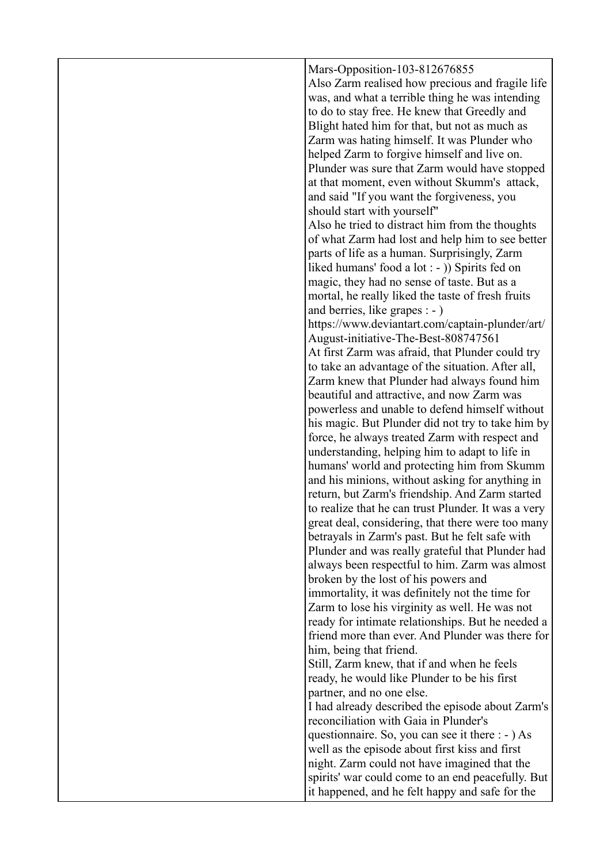| Mars-Opposition-103-812676855<br>Also Zarm realised how precious and fragile life<br>was, and what a terrible thing he was intending<br>to do to stay free. He knew that Greedly and<br>Blight hated him for that, but not as much as<br>Zarm was hating himself. It was Plunder who<br>helped Zarm to forgive himself and live on.<br>Plunder was sure that Zarm would have stopped<br>at that moment, even without Skumm's attack,<br>and said "If you want the forgiveness, you<br>should start with yourself"<br>Also he tried to distract him from the thoughts |
|----------------------------------------------------------------------------------------------------------------------------------------------------------------------------------------------------------------------------------------------------------------------------------------------------------------------------------------------------------------------------------------------------------------------------------------------------------------------------------------------------------------------------------------------------------------------|
| of what Zarm had lost and help him to see better<br>parts of life as a human. Surprisingly, Zarm<br>liked humans' food a lot : - )) Spirits fed on<br>magic, they had no sense of taste. But as a                                                                                                                                                                                                                                                                                                                                                                    |
| mortal, he really liked the taste of fresh fruits<br>and berries, like grapes $: -)$<br>https://www.deviantart.com/captain-plunder/art/<br>August-initiative-The-Best-808747561                                                                                                                                                                                                                                                                                                                                                                                      |
| At first Zarm was afraid, that Plunder could try<br>to take an advantage of the situation. After all,<br>Zarm knew that Plunder had always found him<br>beautiful and attractive, and now Zarm was                                                                                                                                                                                                                                                                                                                                                                   |
| powerless and unable to defend himself without<br>his magic. But Plunder did not try to take him by<br>force, he always treated Zarm with respect and                                                                                                                                                                                                                                                                                                                                                                                                                |
| understanding, helping him to adapt to life in<br>humans' world and protecting him from Skumm<br>and his minions, without asking for anything in<br>return, but Zarm's friendship. And Zarm started                                                                                                                                                                                                                                                                                                                                                                  |
| to realize that he can trust Plunder. It was a very<br>great deal, considering, that there were too many<br>betrayals in Zarm's past. But he felt safe with<br>Plunder and was really grateful that Plunder had                                                                                                                                                                                                                                                                                                                                                      |
| always been respectful to him. Zarm was almost<br>broken by the lost of his powers and<br>immortality, it was definitely not the time for<br>Zarm to lose his virginity as well. He was not<br>ready for intimate relationships. But he needed a                                                                                                                                                                                                                                                                                                                     |
| friend more than ever. And Plunder was there for<br>him, being that friend.<br>Still, Zarm knew, that if and when he feels<br>ready, he would like Plunder to be his first<br>partner, and no one else.                                                                                                                                                                                                                                                                                                                                                              |
| I had already described the episode about Zarm's<br>reconciliation with Gaia in Plunder's<br>questionnaire. So, you can see it there : - ) As<br>well as the episode about first kiss and first                                                                                                                                                                                                                                                                                                                                                                      |
| night. Zarm could not have imagined that the<br>spirits' war could come to an end peacefully. But<br>it happened, and he felt happy and safe for the                                                                                                                                                                                                                                                                                                                                                                                                                 |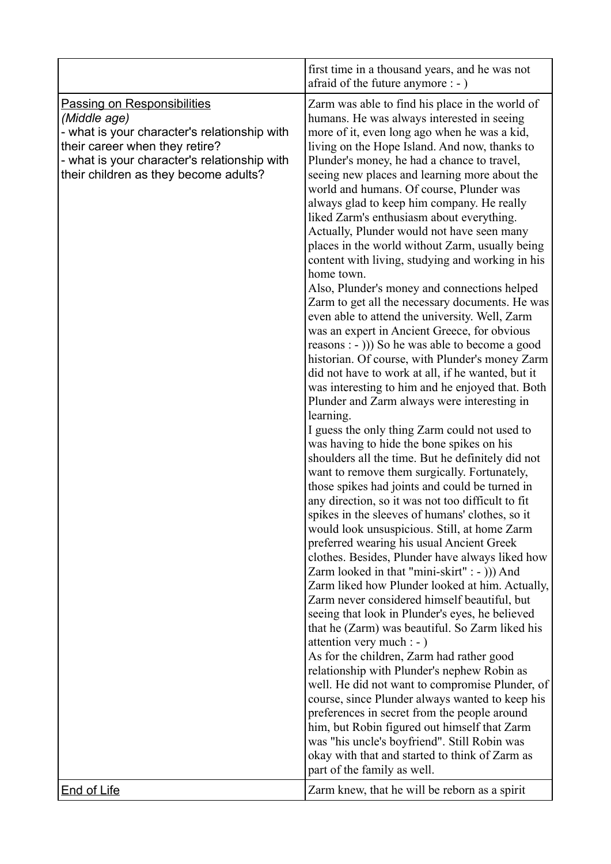|                                                                                                                                                                                                                               | first time in a thousand years, and he was not<br>afraid of the future anymore : - )                                                                                                                                                                                                                                                                                                                                                                                                                                                                                                                                                                                                                                                                                                                                                                                                                                                                                                                                                                                                                                                                                                                                                                                                                                                                                                                                                                                                                                                                                                                                                                                                                                                                                                                                                                                                                                                                                                                                                                                                                                                                                                                                                                                                                                           |
|-------------------------------------------------------------------------------------------------------------------------------------------------------------------------------------------------------------------------------|--------------------------------------------------------------------------------------------------------------------------------------------------------------------------------------------------------------------------------------------------------------------------------------------------------------------------------------------------------------------------------------------------------------------------------------------------------------------------------------------------------------------------------------------------------------------------------------------------------------------------------------------------------------------------------------------------------------------------------------------------------------------------------------------------------------------------------------------------------------------------------------------------------------------------------------------------------------------------------------------------------------------------------------------------------------------------------------------------------------------------------------------------------------------------------------------------------------------------------------------------------------------------------------------------------------------------------------------------------------------------------------------------------------------------------------------------------------------------------------------------------------------------------------------------------------------------------------------------------------------------------------------------------------------------------------------------------------------------------------------------------------------------------------------------------------------------------------------------------------------------------------------------------------------------------------------------------------------------------------------------------------------------------------------------------------------------------------------------------------------------------------------------------------------------------------------------------------------------------------------------------------------------------------------------------------------------------|
| <b>Passing on Responsibilities</b><br>(Middle age)<br>- what is your character's relationship with<br>their career when they retire?<br>- what is your character's relationship with<br>their children as they become adults? | Zarm was able to find his place in the world of<br>humans. He was always interested in seeing<br>more of it, even long ago when he was a kid,<br>living on the Hope Island. And now, thanks to<br>Plunder's money, he had a chance to travel,<br>seeing new places and learning more about the<br>world and humans. Of course, Plunder was<br>always glad to keep him company. He really<br>liked Zarm's enthusiasm about everything.<br>Actually, Plunder would not have seen many<br>places in the world without Zarm, usually being<br>content with living, studying and working in his<br>home town.<br>Also, Plunder's money and connections helped<br>Zarm to get all the necessary documents. He was<br>even able to attend the university. Well, Zarm<br>was an expert in Ancient Greece, for obvious<br>reasons : - ))) So he was able to become a good<br>historian. Of course, with Plunder's money Zarm<br>did not have to work at all, if he wanted, but it<br>was interesting to him and he enjoyed that. Both<br>Plunder and Zarm always were interesting in<br>learning.<br>I guess the only thing Zarm could not used to<br>was having to hide the bone spikes on his<br>shoulders all the time. But he definitely did not<br>want to remove them surgically. Fortunately,<br>those spikes had joints and could be turned in<br>any direction, so it was not too difficult to fit<br>spikes in the sleeves of humans' clothes, so it<br>would look unsuspicious. Still, at home Zarm<br>preferred wearing his usual Ancient Greek<br>clothes. Besides, Plunder have always liked how<br>Zarm looked in that "mini-skirt" : - ))) And<br>Zarm liked how Plunder looked at him. Actually,<br>Zarm never considered himself beautiful, but<br>seeing that look in Plunder's eyes, he believed<br>that he (Zarm) was beautiful. So Zarm liked his<br>attention very much : - )<br>As for the children, Zarm had rather good<br>relationship with Plunder's nephew Robin as<br>well. He did not want to compromise Plunder, of<br>course, since Plunder always wanted to keep his<br>preferences in secret from the people around<br>him, but Robin figured out himself that Zarm<br>was "his uncle's boyfriend". Still Robin was<br>okay with that and started to think of Zarm as<br>part of the family as well. |
| <b>End of Life</b>                                                                                                                                                                                                            | Zarm knew, that he will be reborn as a spirit                                                                                                                                                                                                                                                                                                                                                                                                                                                                                                                                                                                                                                                                                                                                                                                                                                                                                                                                                                                                                                                                                                                                                                                                                                                                                                                                                                                                                                                                                                                                                                                                                                                                                                                                                                                                                                                                                                                                                                                                                                                                                                                                                                                                                                                                                  |